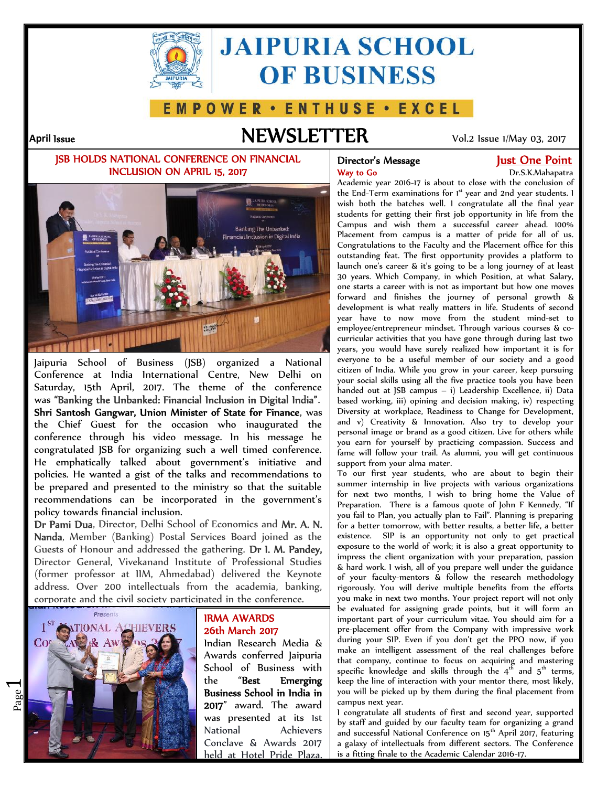

# **JAIPURIA SCHOOL OF BUSINESS**

### E M P O W E R · E N T H U S E · E X C E L

### **April Issue NEWSLETTER** Vol.2 Issue 1/May 03, 2017

#### **JSB HOLDS NATIONAL CONFERENCE ON FINANCIAL INCLUSION ON APRIL 15, 2017**



Jaipuria School of Business (JSB) organized a National Conference at India International Centre, New Delhi on Saturday, 15th April, 2017. The theme of the conference was **"Banking the Unbanked: Financial Inclusion in Digital India"**. **Shri Santosh Gangwar, Union Minister of State for Finance**, was the Chief Guest for the occasion who inaugurated the conference through his video message. In his message he congratulated JSB for organizing such a well timed conference. He emphatically talked about government's initiative and policies. He wanted a gist of the talks and recommendations to be prepared and presented to the ministry so that the suitable recommendations can be incorporated in the government's policy towards financial inclusion.

**Dr Pami Dua**, Director, Delhi School of Economics and **Mr. A. N. Nanda**, Member (Banking) Postal Services Board joined as the Guests of Honour and addressed the gathering. **Dr I. M. Pandey,** Director General, Vivekanand Institute of Professional Studies (former professor at IIM, Ahmedabad) delivered the Keynote address. Over 200 intellectuals from the academia, banking, corporate and the civil society participated in the conference.



#### **IRMA AWARDS 26th March 2017**

Indian Research Media & Awards conferred Jaipuria School of Business with the "**Best Emerging Business School in India in 2017**" award. The award was presented at its 1st National Achievers Conclave & Awards 2017 held at Hotel Pride Plaza.

## **Way to Go** Dr.S.K.Mahapatra

#### **Director's Message The Point Cone Point**

Academic year 2016-17 is about to close with the conclusion of the End-Term examinations for 1<sup>st</sup> year and 2nd year students. 1 wish both the batches well. I congratulate all the final year students for getting their first job opportunity in life from the Campus and wish them a successful career ahead. 100% Placement from campus is a matter of pride for all of us. Congratulations to the Faculty and the Placement office for this outstanding feat. The first opportunity provides a platform to launch one's career & it's going to be a long journey of at least 30 years. Which Company, in which Position, at what Salary, one starts a career with is not as important but how one moves forward and finishes the journey of personal growth & development is what really matters in life. Students of second year have to now move from the student mind-set to employee/entrepreneur mindset. Through various courses & co curricular activities that you have gone through during last two years, you would have surely realized how important it is for everyone to be a useful member of our society and a good citizen of India. While you grow in your career, keep pursuing your social skills using all the five practice tools you have been handed out at JSB campus - i) Leadership Excellence, ii) Data based working, iii) opining and decision making, iv) respecting Diversity at workplace, Readiness to Change for Development, and v) Creativity & Innovation. Also try to develop your personal image or brand as a good citizen. Live for others while you earn for yourself by practicing compassion. Success and fame will follow your trail. As alumni, you will get continuous support from your alma mater.

To our first year students, who are about to begin their summer internship in live projects with various organizations for next two months, I wish to bring home the Value of Preparation. There is a famous quote of John F Kennedy, "If you fail to Plan, you actually plan to Fail". Planning is preparing for a better tomorrow, with better results, a better life, a better existence. SIP is an opportunity not only to get practical exposure to the world of work; it is also a great opportunity to impress the client organization with your preparation, passion & hard work. I wish, all of you prepare well under the guidance of your faculty-mentors & follow the research methodology rigorously. You will derive multiple benefits from the efforts you make in next two months. Your project report will not only be evaluated for assigning grade points, but it will form an important part of your curriculum vitae. You should aim for a pre-placement offer from the Company with impressive work during your SIP. Even if you don't get the PPO now, if you make an intelligent assessment of the real challenges before that company, continue to focus on acquiring and mastering specific knowledge and skills through the  $4<sup>th</sup>$  and  $5<sup>th</sup>$  terms, keep the line of interaction with your mentor there, most likely, you will be picked up by them during the final placement from campus next year.

I congratulate all students of first and second year, supported by staff and guided by our faculty team for organizing a grand and successful National Conference on 15<sup>th</sup> April 2017, featuring a galaxy of intellectuals from different sectors. The Conference is a fitting finale to the Academic Calendar 2016-17.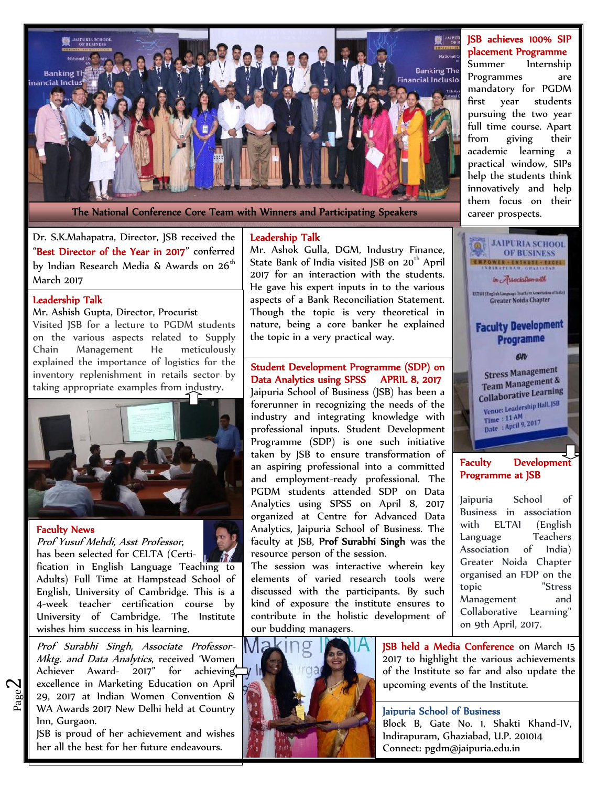

**JSB achieves 100% SIP placement Programme**

Summer Internship Programmes are mandatory for PGDM first year students pursuing the two year full time course. Apart from giving their academic learning a practical window, SIPs help the students think innovatively and help them focus on their career prospects.



#### **Development Programme at JSB**

School of Business in association ELTAI (English Teachers Association of India) Greater Noida Chapter organised an FDP on the "Stress Management and Collaborative Learning" on 9th April, 2017.



**JSB held a Media Conference** on March 15 2017 to highlight the various achievements of the Institute so far and also update the upcoming events of the Institute.

#### **Jaipuria School of Business**

Block B, Gate No. 1, Shakti Khand-IV, Indirapuram, Ghaziabad, U.P. 201014 Connect: pgdm@jaipuria.edu.in

Dr. S.K.Mahapatra, Director, JSB received the "**Best Director of the Year in 2017**" conferred by Indian Research Media & Awards on  $26<sup>th</sup>$ March 2017

#### **Leadership Talk**

#### Mr. Ashish Gupta, Director, Procurist

Visited JSB for a lecture to PGDM students on the various aspects related to Supply Chain Management He meticulously explained the importance of logistics for the inventory replenishment in retails sector by taking appropriate examples from industry.



#### **Faculty News**

 $\boldsymbol{\sim}$ 

*Prof Yusuf Mehdi, Asst Professor*, has been selected for CELTA (Certification in English Language Teaching to Adults) Full Time at Hampstead School of English, University of Cambridge. This is a 4-week teacher certification course by University of Cambridge. The Institute wishes him success in his learning.

 $\begin{array}{c|c|c|c|c} \mathbf{g} & 29, & 2017 & \text{at Indian Women Convention & \ & \mathbf{W} & \mathbf{W} \\ \mathbf{g} & \mathbf{W} & \mathbf{A} & \mathbf{W} & \mathbf{A} & \mathbf{W} \\ \mathbf{h} & \mathbf{W} & \mathbf{A} & \mathbf{W} & \mathbf{A} & \mathbf{W} \end{array}$ *Prof Surabhi Singh, Associate Professor-Mktg. and Data Analytics*, received 'Women Achiever Award- 2017" for achieving excellence in Marketing Education on April WA Awards 2017 New Delhi held at Country Inn, Gurgaon.

JSB is proud of her achievement and wishes her all the best for her future endeavours.

#### **Leadership Talk**

Mr. Ashok Gulla, DGM, Industry Finance, State Bank of India visited JSB on 20<sup>th</sup> April 2017 for an interaction with the students. He gave his expert inputs in to the various<br>aspects of a Bank Reconciliation Statement. Greater Noida Chapter aspects of a Bank Reconciliation Statement. Though the topic is very theoretical in nature, being a core banker he explained **Faculty Development** the topic in a very practical way.

Student Development Programme (SDP) on **Company of Company of Company of Company of Company of Company of Company of Company of Company of Company of Company of Company of Company of Company of Company of Company of Compan Data Analytics using SPSS APRIL 8, 2017**<br>Jaipuria School of Business (JSB) has been a **Communist** Containerative Learning Jaipuria School of Business (JSB) has been a

forerunner in recognizing the needs of the industry and integrating the needs of the venue: Leadership Hall. JSB industry and integrating knowledge with professional inputs. Student Development professional inputs. Student Development Programme (SDP) is one such initiative taken by JSB to ensure transformation of an aspiring professional into a committed and employment-ready professional. The PGDM students attended SDP on Data Analytics using SPSS on April 8, 2017 organized at Centre for Advanced Data  $\begin{bmatrix} \text{BUS1} \\ \text{with} \end{bmatrix}$ Analytics, Jaipuria School of Business. The W<sup>ITH</sup> EL faculty at JSB, **Prof Surabhi Singh** was the resource person of the session.

The session was interactive wherein key elements of varied research tools were  $\begin{bmatrix} \text{organ} \\ \text{topic} \end{bmatrix}$ discussed with the participants. By such kind of exposure the institute ensures to contribute in the holistic development of our budding managers.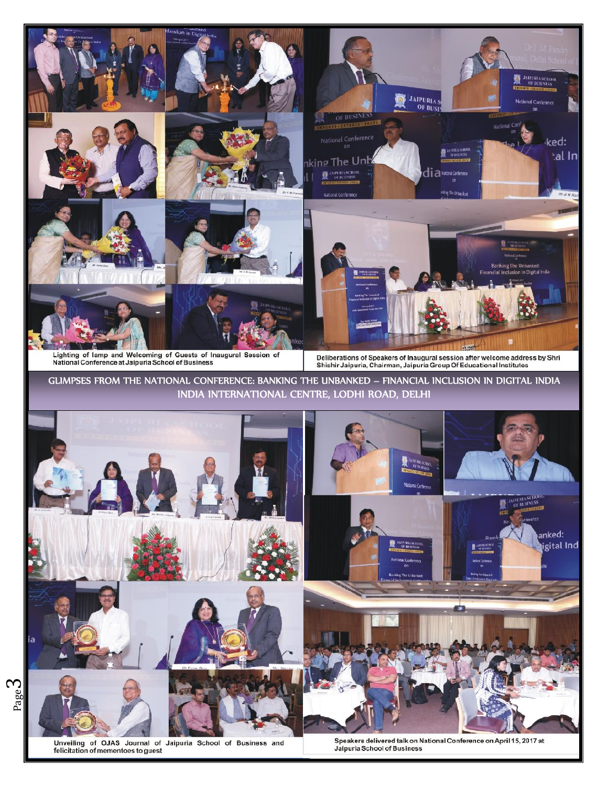

Unveiling of OJAS Journal of Jaipuria School of Business and felicitation of mementoes to guest

Speakers delivered talk on National Conference on April 15, 2017 at Jaipuria School of Business